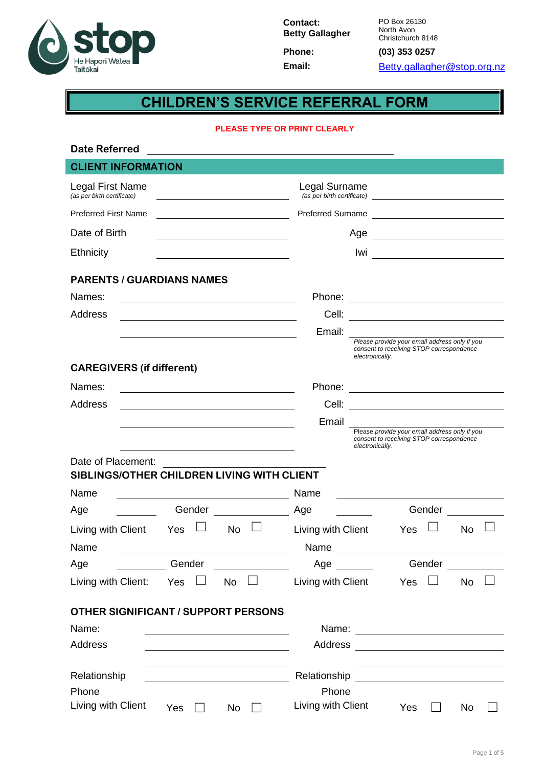

**Contact: Betty Gallagher Phone: (03) 353 0257**

PO Box 26130 North Avon Christchurch 8148

Email: [Betty.gallagher@stop.org.nz](mailto:Betty.gallagher@stop.org.nz)

# **CHILDREN'S SERVICE REFERRAL FORM**

#### **PLEASE TYPE OR PRINT CLEARLY**

| <b>Date Referred</b>                                             |           |                                                                                                                                                                                                                                                      |                 |                                                                                                                        |        |    |  |
|------------------------------------------------------------------|-----------|------------------------------------------------------------------------------------------------------------------------------------------------------------------------------------------------------------------------------------------------------|-----------------|------------------------------------------------------------------------------------------------------------------------|--------|----|--|
| <b>CLIENT INFORMATION</b>                                        |           |                                                                                                                                                                                                                                                      |                 |                                                                                                                        |        |    |  |
| Legal First Name<br>(as per birth certificate)                   |           | Legal Surname<br>(as per birth certificate) <u>example</u> and the set of the set of the set of the set of the set of the set of the set of the set of the set of the set of the set of the set of the set of the set of the set of the set of the s |                 |                                                                                                                        |        |    |  |
| <b>Preferred First Name</b>                                      |           | Preferred Surname                                                                                                                                                                                                                                    |                 |                                                                                                                        |        |    |  |
| Date of Birth                                                    |           |                                                                                                                                                                                                                                                      | Age             |                                                                                                                        |        |    |  |
| Ethnicity                                                        |           |                                                                                                                                                                                                                                                      | lwi             | <u> 1980 - Johann Barn, mars ann an t-</u>                                                                             |        |    |  |
| <b>PARENTS / GUARDIANS NAMES</b>                                 |           |                                                                                                                                                                                                                                                      |                 |                                                                                                                        |        |    |  |
| Names:                                                           |           | Phone:                                                                                                                                                                                                                                               |                 | <u> 1989 - Andrea Branden, fransk politik (d. 1989)</u>                                                                |        |    |  |
| <b>Address</b>                                                   |           | Cell:                                                                                                                                                                                                                                                |                 |                                                                                                                        |        |    |  |
|                                                                  |           | Email:                                                                                                                                                                                                                                               |                 |                                                                                                                        |        |    |  |
|                                                                  |           |                                                                                                                                                                                                                                                      | electronically. | Please provide your email address only if you<br>consent to receiving STOP correspondence                              |        |    |  |
| <b>CAREGIVERS (if different)</b>                                 |           |                                                                                                                                                                                                                                                      |                 |                                                                                                                        |        |    |  |
| Names:                                                           |           | Phone:                                                                                                                                                                                                                                               |                 | <u> 1989 - Johann Stoff, deutscher Stoffen und der Stoffen und der Stoffen und der Stoffen und der Stoffen und der</u> |        |    |  |
| <b>Address</b>                                                   |           | Cell:                                                                                                                                                                                                                                                |                 | <u> 1980 - Johann Stoff, fransk politik (d. 1980)</u>                                                                  |        |    |  |
|                                                                  |           | Email                                                                                                                                                                                                                                                |                 |                                                                                                                        |        |    |  |
|                                                                  |           |                                                                                                                                                                                                                                                      | electronically. | Please provide your email address only if you<br>consent to receiving STOP correspondence                              |        |    |  |
| Date of Placement:<br>SIBLINGS/OTHER CHILDREN LIVING WITH CLIENT |           |                                                                                                                                                                                                                                                      |                 |                                                                                                                        |        |    |  |
| Name                                                             |           | Name                                                                                                                                                                                                                                                 |                 |                                                                                                                        |        |    |  |
| Gender<br>Age                                                    |           | Age                                                                                                                                                                                                                                                  |                 |                                                                                                                        | Gender |    |  |
| Living with Client<br>Yes                                        | <b>No</b> | Living with Client                                                                                                                                                                                                                                   |                 | Yes                                                                                                                    |        | No |  |
| Name                                                             |           | Name                                                                                                                                                                                                                                                 |                 |                                                                                                                        |        |    |  |
| Gender<br>Age                                                    |           | Age                                                                                                                                                                                                                                                  |                 |                                                                                                                        | Gender |    |  |
| Living with Client:<br>Yes $\Box$                                | <b>No</b> | Living with Client                                                                                                                                                                                                                                   |                 | Yes                                                                                                                    |        | No |  |
| OTHER SIGNIFICANT / SUPPORT PERSONS                              |           |                                                                                                                                                                                                                                                      |                 |                                                                                                                        |        |    |  |
| Name:                                                            |           |                                                                                                                                                                                                                                                      |                 |                                                                                                                        |        |    |  |
| <b>Address</b>                                                   |           | Address                                                                                                                                                                                                                                              |                 |                                                                                                                        |        |    |  |
| Relationship                                                     |           | Relationship                                                                                                                                                                                                                                         |                 |                                                                                                                        |        |    |  |
| Phone                                                            |           | Phone                                                                                                                                                                                                                                                |                 |                                                                                                                        |        |    |  |
| Living with Client<br>Yes                                        | No        | Living with Client                                                                                                                                                                                                                                   |                 | Yes                                                                                                                    |        | No |  |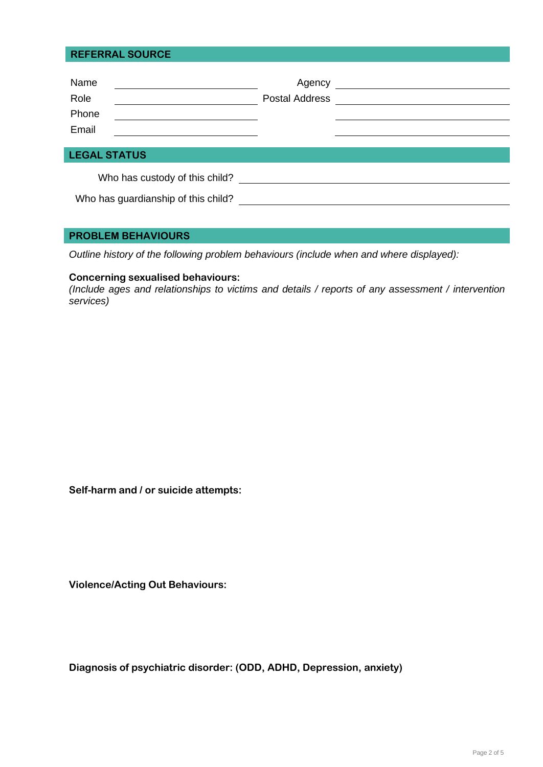## **REFERRAL SOURCE**

| Name<br>Role<br>Phone<br>Email                                        | Agency<br><b>Postal Address</b> | <u> 1989 - Andrea Station Books, amerikansk politik (</u> |
|-----------------------------------------------------------------------|---------------------------------|-----------------------------------------------------------|
| <b>LEGAL STATUS</b>                                                   |                                 |                                                           |
| Who has custody of this child?<br>Who has guardianship of this child? |                                 |                                                           |

## **PROBLEM BEHAVIOURS**

*Outline history of the following problem behaviours (include when and where displayed):*

## **Concerning sexualised behaviours:**

*(Include ages and relationships to victims and details / reports of any assessment / intervention services)*

**Self-harm and / or suicide attempts:**

**Violence/Acting Out Behaviours:**

**Diagnosis of psychiatric disorder: (ODD, ADHD, Depression, anxiety)**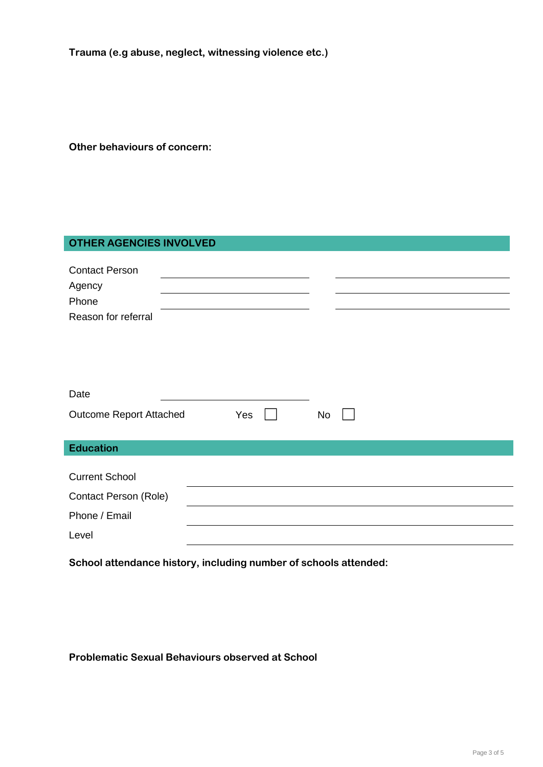**Trauma (e.g abuse, neglect, witnessing violence etc.)**

**Other behaviours of concern:**

## **OTHER AGENCIES INVOLVED**

| <b>Contact Person</b><br>Agency<br>Phone<br>Reason for referral |     |    |  |
|-----------------------------------------------------------------|-----|----|--|
| Date                                                            |     |    |  |
| <b>Outcome Report Attached</b>                                  | Yes | No |  |
| <b>Education</b>                                                |     |    |  |

| <b>Current School</b> |  |
|-----------------------|--|
| Contact Person (Role) |  |
| Phone / Email         |  |
| Level                 |  |

**School attendance history, including number of schools attended:**

**Problematic Sexual Behaviours observed at School**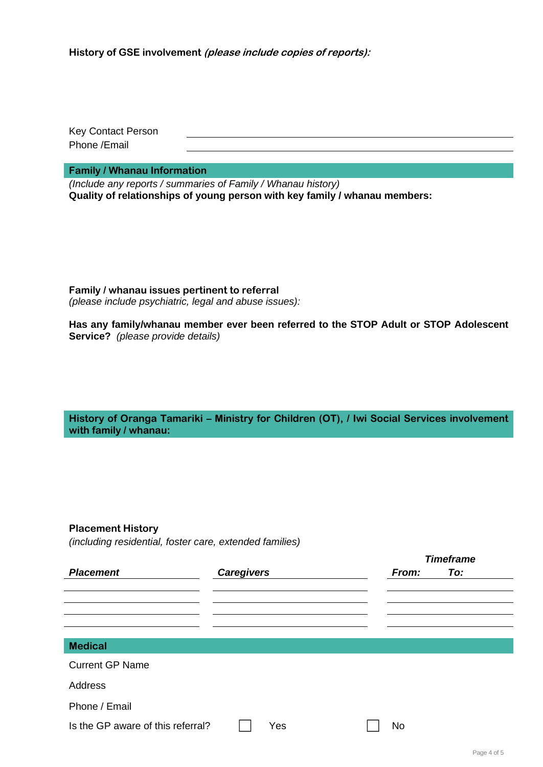Key Contact Person Phone /Email

**Family / Whanau Information**

*(Include any reports / summaries of Family / Whanau history)* **Quality of relationships of young person with key family / whanau members:**

**Family / whanau issues pertinent to referral**  *(please include psychiatric, legal and abuse issues):*

**Has any family/whanau member ever been referred to the STOP Adult or STOP Adolescent Service?** *(please provide details)*

**History of Oranga Tamariki – Ministry for Children (OT), / Iwi Social Services involvement with family / whanau:**

## **Placement History**

*(including residential, foster care, extended families)*

|                                   |                   |     |  |  | <b>Timeframe</b> |     |  |  |
|-----------------------------------|-------------------|-----|--|--|------------------|-----|--|--|
| <b>Placement</b>                  | <b>Caregivers</b> |     |  |  | From:            | To: |  |  |
|                                   |                   |     |  |  |                  |     |  |  |
|                                   |                   |     |  |  |                  |     |  |  |
|                                   |                   |     |  |  |                  |     |  |  |
|                                   |                   |     |  |  |                  |     |  |  |
| <b>Medical</b>                    |                   |     |  |  |                  |     |  |  |
| <b>Current GP Name</b>            |                   |     |  |  |                  |     |  |  |
| Address                           |                   |     |  |  |                  |     |  |  |
| Phone / Email                     |                   |     |  |  |                  |     |  |  |
| Is the GP aware of this referral? |                   | Yes |  |  | <b>No</b>        |     |  |  |